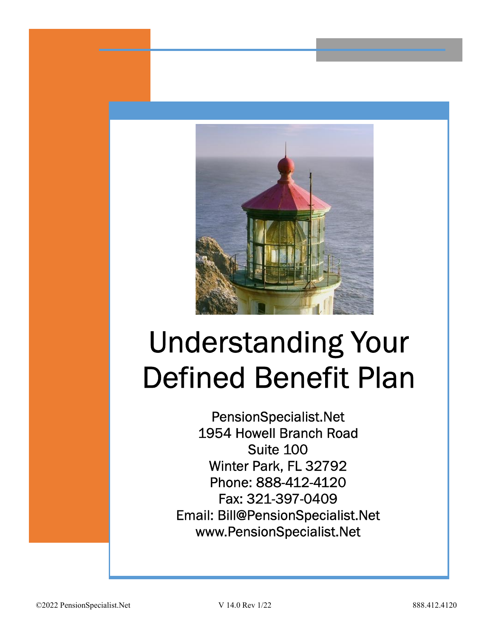

# Understanding Your Defined Benefit Plan

Suite 100 0. P.O. P.O. A. Fax: 321-397-0409 www.PensionSpecialist.Net PensionSpecialist.Net 1954 Howell Branch Road Winter Park, FL 32792 Phone: 888-412-4120 Email: Bill@PensionSpecialist.Net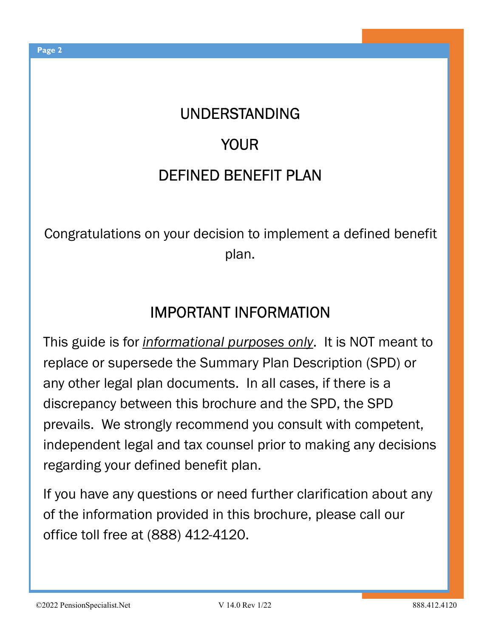## UNDERSTANDING

## YOUR

## DEFINED BENEFIT PLAN

Congratulations on your decision to implement a defined benefit plan.

## IMPORTANT INFORMATION

This guide is for *informational purposes only*. It is NOT meant to replace or supersede the Summary Plan Description (SPD) or any other legal plan documents. In all cases, if there is a discrepancy between this brochure and the SPD, the SPD prevails. We strongly recommend you consult with competent, independent legal and tax counsel prior to making any decisions regarding your defined benefit plan.

If you have any questions or need further clarification about any of the information provided in this brochure, please call our office toll free at (888) 412-4120.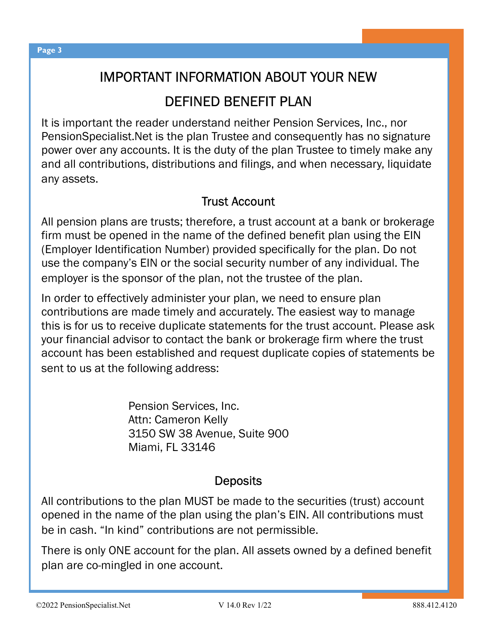## IMPORTANT INFORMATION ABOUT YOUR NEW DEFINED BENEFIT PLAN

It is important the reader understand neither Pension Services, Inc., nor PensionSpecialist.Net is the plan Trustee and consequently has no signature power over any accounts. It is the duty of the plan Trustee to timely make any and all contributions, distributions and filings, and when necessary, liquidate any assets.

#### Trust Account

All pension plans are trusts; therefore, a trust account at a bank or brokerage firm must be opened in the name of the defined benefit plan using the EIN (Employer Identification Number) provided specifically for the plan. Do not use the company's EIN or the social security number of any individual. The employer is the sponsor of the plan, not the trustee of the plan.

In order to effectively administer your plan, we need to ensure plan contributions are made timely and accurately. The easiest way to manage this is for us to receive duplicate statements for the trust account. Please ask your financial advisor to contact the bank or brokerage firm where the trust account has been established and request duplicate copies of statements be sent to us at the following address:

> Pension Services, Inc. Attn: Cameron Kelly 3150 SW 38 Avenue, Suite 900 Miami, FL 33146

#### **Deposits**

All contributions to the plan MUST be made to the securities (trust) account opened in the name of the plan using the plan's EIN. All contributions must be in cash. "In kind" contributions are not permissible.

There is only ONE account for the plan. All assets owned by a defined benefit plan are co-mingled in one account.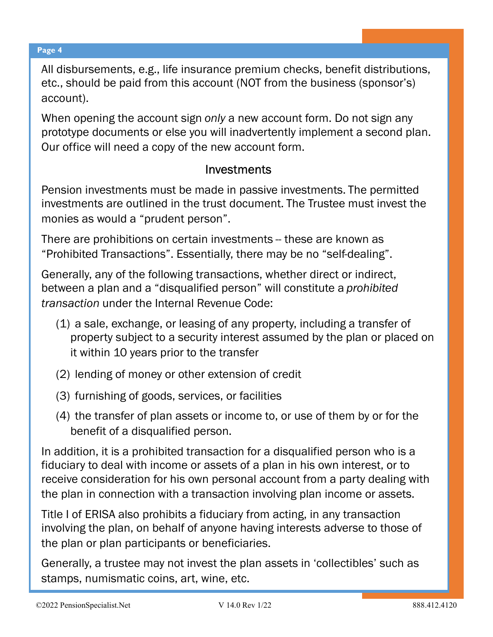All disbursements, e.g., life insurance premium checks, benefit distributions, etc., should be paid from this account (NOT from the business (sponsor's) account).

When opening the account sign only a new account form. Do not sign any prototype documents or else you will inadvertently implement a second plan. Our office will need a copy of the new account form.

#### Investments

Pension investments must be made in passive investments. The permitted investments are outlined in the trust document. The Trustee must invest the monies as would a "prudent person".

There are prohibitions on certain investments -- these are known as "Prohibited Transactions". Essentially, there may be no "self-dealing".

Generally, any of the following transactions, whether direct or indirect, between a plan and a "disqualified person" will constitute a prohibited transaction under the Internal Revenue Code:

- (1) a sale, exchange, or leasing of any property, including a transfer of property subject to a security interest assumed by the plan or placed on it within 10 years prior to the transfer
- (2) lending of money or other extension of credit
- (3) furnishing of goods, services, or facilities
- (4) the transfer of plan assets or income to, or use of them by or for the benefit of a disqualified person.

In addition, it is a prohibited transaction for a disqualified person who is a fiduciary to deal with income or assets of a plan in his own interest, or to receive consideration for his own personal account from a party dealing with the plan in connection with a transaction involving plan income or assets.

Title I of ERISA also prohibits a fiduciary from acting, in any transaction involving the plan, on behalf of anyone having interests adverse to those of the plan or plan participants or beneficiaries.

Generally, a trustee may not invest the plan assets in 'collectibles' such as stamps, numismatic coins, art, wine, etc.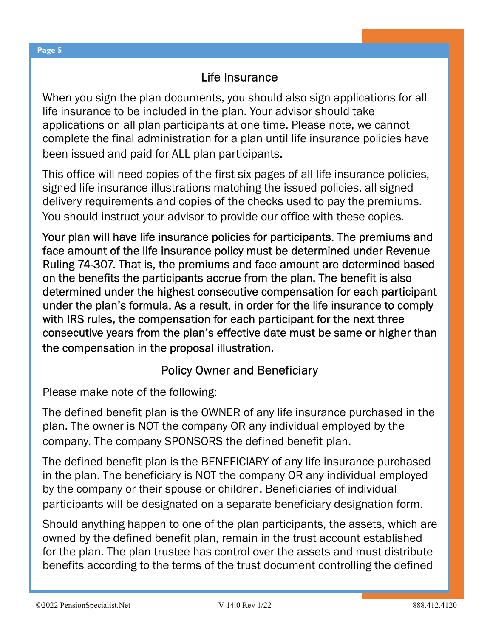#### Life Insurance

When you sign the plan documents, you should also sign applications for all life insurance to be included in the plan. Your advisor should take applications on all plan participants at one time. Please note, we cannot complete the final administration for a plan until life insurance policies have been issued and paid for ALL plan participants.

This office will need copies of the first six pages of all life insurance policies, signed life insurance illustrations matching the issued policies, all signed delivery requirements and copies of the checks used to pay the premiums. You should instruct your advisor to provide our office with these copies.

Your plan will have life insurance policies for participants. The premiums and face amount of the life insurance policy must be determined under Revenue Ruling 74-307. That is, the premiums and face amount are determined based on the benefits the participants accrue from the plan. The benefit is also determined under the highest consecutive compensation for each participant under the plan's formula. As a result, in order for the life insurance to comply with IRS rules, the compensation for each participant for the next three consecutive years from the plan's effective date must be same or higher than the compensation in the proposal illustration.

#### Policy Owner and Beneficiary

Please make note of the following:

The defined benefit plan is the OWNER of any life insurance purchased in the plan. The owner is NOT the company OR any individual employed by the company. The company SPONSORS the defined benefit plan.

The defined benefit plan is the BENEFICIARY of any life insurance purchased in the plan. The beneficiary is NOT the company OR any individual employed by the company or their spouse or children. Beneficiaries of individual participants will be designated on a separate beneficiary designation form.

Should anything happen to one of the plan participants, the assets, which are owned by the defined benefit plan, remain in the trust account established for the plan. The plan trustee has control over the assets and must distribute benefits according to the terms of the trust document controlling the defined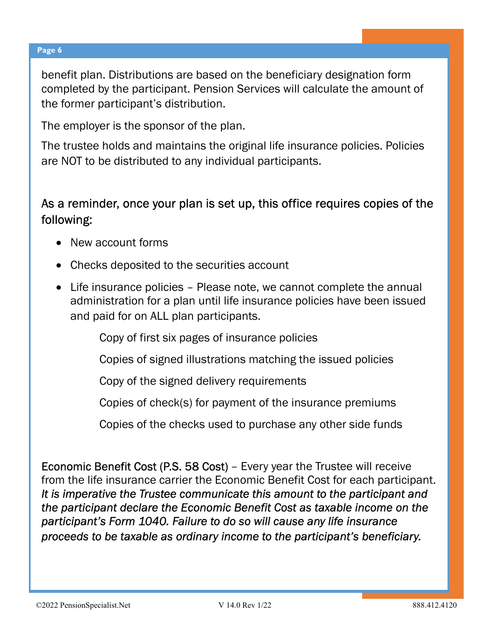benefit plan. Distributions are based on the beneficiary designation form completed by the participant. Pension Services will calculate the amount of the former participant's distribution.

The employer is the sponsor of the plan.

The trustee holds and maintains the original life insurance policies. Policies are NOT to be distributed to any individual participants.

#### As a reminder, once your plan is set up, this office requires copies of the following:

- New account forms
- Checks deposited to the securities account
- Life insurance policies Please note, we cannot complete the annual administration for a plan until life insurance policies have been issued and paid for on ALL plan participants.

Copy of first six pages of insurance policies

Copies of signed illustrations matching the issued policies

Copy of the signed delivery requirements

Copies of check(s) for payment of the insurance premiums

Copies of the checks used to purchase any other side funds

Economic Benefit Cost (P.S. 58 Cost) – Every year the Trustee will receive from the life insurance carrier the Economic Benefit Cost for each participant. It is imperative the Trustee communicate this amount to the participant and the participant declare the Economic Benefit Cost as taxable income on the participant's Form 1040. Failure to do so will cause any life insurance proceeds to be taxable as ordinary income to the participant's beneficiary.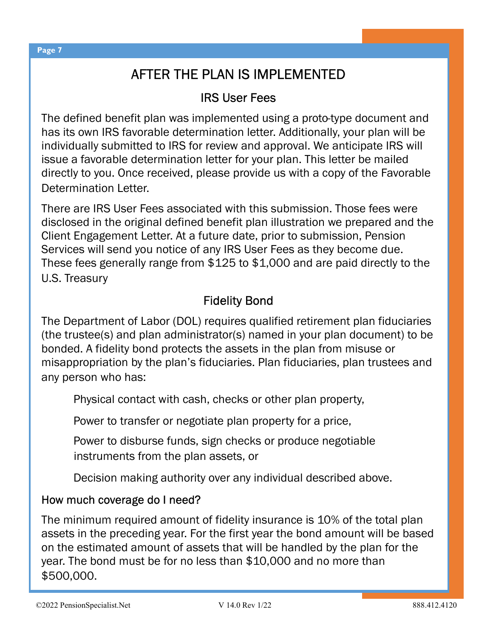## AFTER THE PLAN IS IMPLEMENTED

#### IRS User Fees

The defined benefit plan was implemented using a proto-type document and has its own IRS favorable determination letter. Additionally, your plan will be individually submitted to IRS for review and approval. We anticipate IRS will issue a favorable determination letter for your plan. This letter be mailed directly to you. Once received, please provide us with a copy of the Favorable Determination Letter.

There are IRS User Fees associated with this submission. Those fees were disclosed in the original defined benefit plan illustration we prepared and the Client Engagement Letter. At a future date, prior to submission, Pension Services will send you notice of any IRS User Fees as they become due. These fees generally range from \$125 to \$1,000 and are paid directly to the U.S. Treasury

#### Fidelity Bond

The Department of Labor (DOL) requires qualified retirement plan fiduciaries (the trustee(s) and plan administrator(s) named in your plan document) to be bonded. A fidelity bond protects the assets in the plan from misuse or misappropriation by the plan's fiduciaries. Plan fiduciaries, plan trustees and any person who has:

Physical contact with cash, checks or other plan property,

Power to transfer or negotiate plan property for a price,

Power to disburse funds, sign checks or produce negotiable instruments from the plan assets, or

Decision making authority over any individual described above.

#### How much coverage do I need?

The minimum required amount of fidelity insurance is 10% of the total plan assets in the preceding year. For the first year the bond amount will be based on the estimated amount of assets that will be handled by the plan for the year. The bond must be for no less than \$10,000 and no more than \$500,000.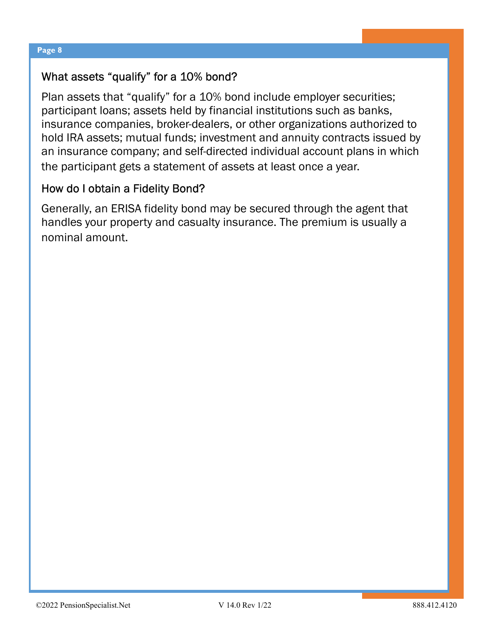#### What assets "qualify" for a 10% bond?

Plan assets that "qualify" for a 10% bond include employer securities; participant loans; assets held by financial institutions such as banks, insurance companies, broker-dealers, or other organizations authorized to hold IRA assets; mutual funds; investment and annuity contracts issued by an insurance company; and self-directed individual account plans in which the participant gets a statement of assets at least once a year.

#### How do I obtain a Fidelity Bond?

Generally, an ERISA fidelity bond may be secured through the agent that handles your property and casualty insurance. The premium is usually a nominal amount.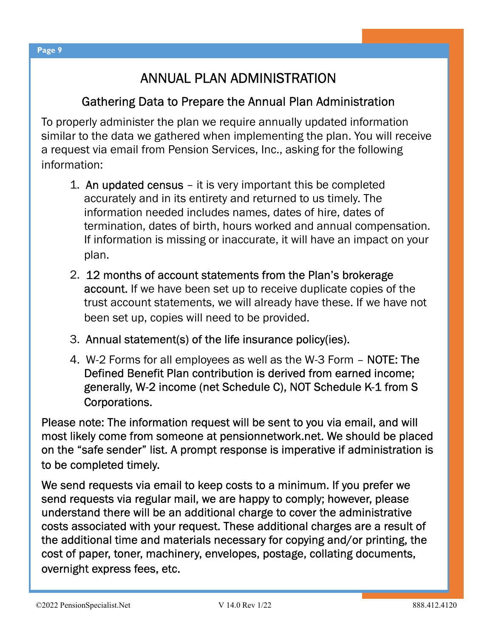## ANNUAL PLAN ADMINISTRATION

#### Gathering Data to Prepare the Annual Plan Administration

To properly administer the plan we require annually updated information similar to the data we gathered when implementing the plan. You will receive a request via email from Pension Services, Inc., asking for the following information:

- 1. An updated census it is very important this be completed accurately and in its entirety and returned to us timely. The information needed includes names, dates of hire, dates of termination, dates of birth, hours worked and annual compensation. If information is missing or inaccurate, it will have an impact on your plan.
- 2. 12 months of account statements from the Plan's brokerage account. If we have been set up to receive duplicate copies of the trust account statements, we will already have these. If we have not been set up, copies will need to be provided.
- 3. Annual statement(s) of the life insurance policy(ies).
- 4. W-2 Forms for all employees as well as the W-3 Form NOTE: The Defined Benefit Plan contribution is derived from earned income; generally, W-2 income (net Schedule C), NOT Schedule K-1 from S Corporations.

Please note: The information request will be sent to you via email, and will most likely come from someone at pensionnetwork.net. We should be placed on the "safe sender" list. A prompt response is imperative if administration is to be completed timely.

We send requests via email to keep costs to a minimum. If you prefer we send requests via regular mail, we are happy to comply; however, please understand there will be an additional charge to cover the administrative costs associated with your request. These additional charges are a result of the additional time and materials necessary for copying and/or printing, the cost of paper, toner, machinery, envelopes, postage, collating documents, overnight express fees, etc.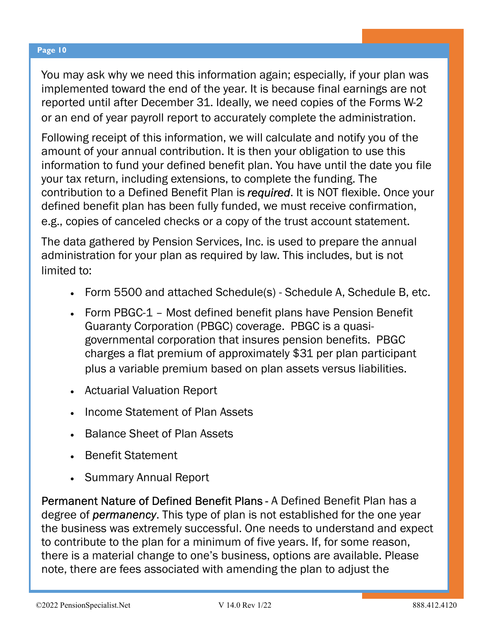You may ask why we need this information again; especially, if your plan was implemented toward the end of the year. It is because final earnings are not reported until after December 31. Ideally, we need copies of the Forms W-2 or an end of year payroll report to accurately complete the administration.

Following receipt of this information, we will calculate and notify you of the amount of your annual contribution. It is then your obligation to use this information to fund your defined benefit plan. You have until the date you file your tax return, including extensions, to complete the funding. The contribution to a Defined Benefit Plan is required. It is NOT flexible. Once your defined benefit plan has been fully funded, we must receive confirmation, e.g., copies of canceled checks or a copy of the trust account statement.

The data gathered by Pension Services, Inc. is used to prepare the annual administration for your plan as required by law. This includes, but is not limited to:

- · Form 5500 and attached Schedule(s) Schedule A, Schedule B, etc.
- · Form PBGC-1 Most defined benefit plans have Pension Benefit Guaranty Corporation (PBGC) coverage. PBGC is a quasigovernmental corporation that insures pension benefits. PBGC charges a flat premium of approximately \$31 per plan participant plus a variable premium based on plan assets versus liabilities.
- · Actuarial Valuation Report
- · Income Statement of Plan Assets
- **Balance Sheet of Plan Assets**
- · Benefit Statement
- **Summary Annual Report**

Permanent Nature of Defined Benefit Plans - A Defined Benefit Plan has a degree of **permanency**. This type of plan is not established for the one year the business was extremely successful. One needs to understand and expect to contribute to the plan for a minimum of five years. If, for some reason, there is a material change to one's business, options are available. Please note, there are fees associated with amending the plan to adjust the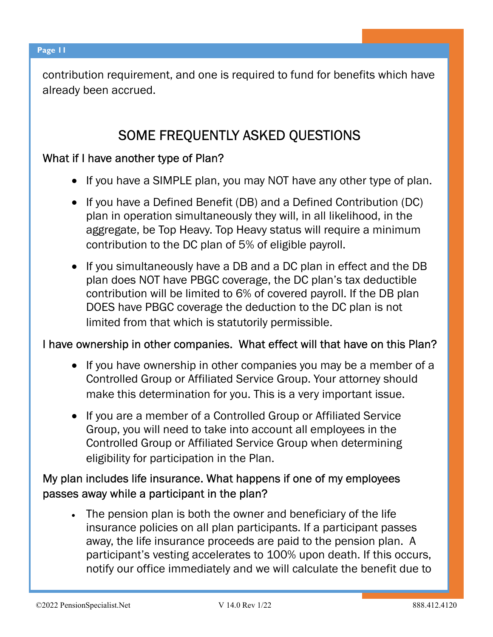contribution requirement, and one is required to fund for benefits which have already been accrued.

## SOME FREQUENTLY ASKED QUESTIONS

#### What if I have another type of Plan?

- · If you have a SIMPLE plan, you may NOT have any other type of plan.
- · If you have a Defined Benefit (DB) and a Defined Contribution (DC) plan in operation simultaneously they will, in all likelihood, in the aggregate, be Top Heavy. Top Heavy status will require a minimum contribution to the DC plan of 5% of eligible payroll.
- · If you simultaneously have a DB and a DC plan in effect and the DB plan does NOT have PBGC coverage, the DC plan's tax deductible contribution will be limited to 6% of covered payroll. If the DB plan DOES have PBGC coverage the deduction to the DC plan is not limited from that which is statutorily permissible.

#### I have ownership in other companies. What effect will that have on this Plan?

- · If you have ownership in other companies you may be a member of a Controlled Group or Affiliated Service Group. Your attorney should make this determination for you. This is a very important issue.
- · If you are a member of a Controlled Group or Affiliated Service Group, you will need to take into account all employees in the Controlled Group or Affiliated Service Group when determining eligibility for participation in the Plan.

#### My plan includes life insurance. What happens if one of my employees passes away while a participant in the plan?

· The pension plan is both the owner and beneficiary of the life insurance policies on all plan participants. If a participant passes away, the life insurance proceeds are paid to the pension plan. A participant's vesting accelerates to 100% upon death. If this occurs, notify our office immediately and we will calculate the benefit due to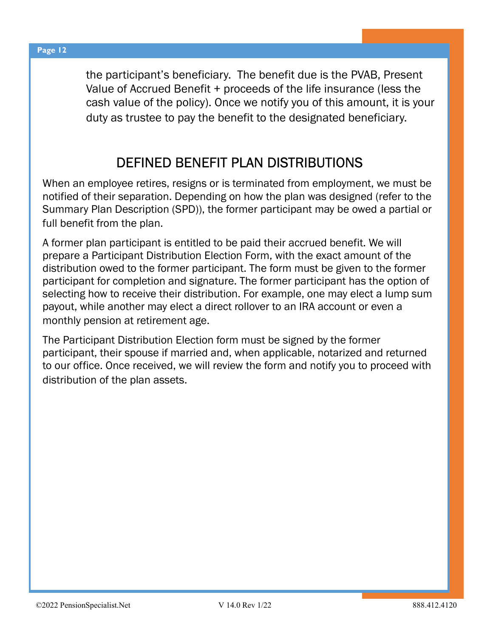the participant's beneficiary. The benefit due is the PVAB, Present Value of Accrued Benefit + proceeds of the life insurance (less the cash value of the policy). Once we notify you of this amount, it is your duty as trustee to pay the benefit to the designated beneficiary.

## DEFINED BENEFIT PLAN DISTRIBUTIONS

When an employee retires, resigns or is terminated from employment, we must be notified of their separation. Depending on how the plan was designed (refer to the Summary Plan Description (SPD)), the former participant may be owed a partial or full benefit from the plan.

A former plan participant is entitled to be paid their accrued benefit. We will prepare a Participant Distribution Election Form, with the exact amount of the distribution owed to the former participant. The form must be given to the former participant for completion and signature. The former participant has the option of selecting how to receive their distribution. For example, one may elect a lump sum payout, while another may elect a direct rollover to an IRA account or even a monthly pension at retirement age.

The Participant Distribution Election form must be signed by the former participant, their spouse if married and, when applicable, notarized and returned to our office. Once received, we will review the form and notify you to proceed with distribution of the plan assets.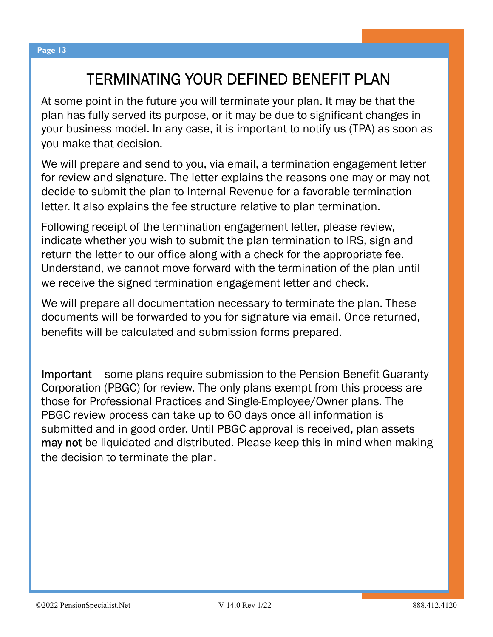## TERMINATING YOUR DEFINED BENEFIT PLAN

At some point in the future you will terminate your plan. It may be that the plan has fully served its purpose, or it may be due to significant changes in your business model. In any case, it is important to notify us (TPA) as soon as you make that decision.

We will prepare and send to you, via email, a termination engagement letter for review and signature. The letter explains the reasons one may or may not decide to submit the plan to Internal Revenue for a favorable termination letter. It also explains the fee structure relative to plan termination.

Following receipt of the termination engagement letter, please review, indicate whether you wish to submit the plan termination to IRS, sign and return the letter to our office along with a check for the appropriate fee. Understand, we cannot move forward with the termination of the plan until we receive the signed termination engagement letter and check.

We will prepare all documentation necessary to terminate the plan. These documents will be forwarded to you for signature via email. Once returned, benefits will be calculated and submission forms prepared.

Important – some plans require submission to the Pension Benefit Guaranty Corporation (PBGC) for review. The only plans exempt from this process are those for Professional Practices and Single-Employee/Owner plans. The PBGC review process can take up to 60 days once all information is submitted and in good order. Until PBGC approval is received, plan assets may not be liquidated and distributed. Please keep this in mind when making the decision to terminate the plan.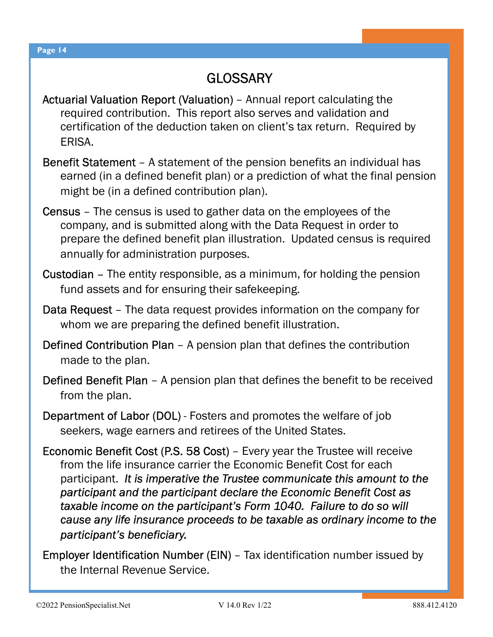## **GLOSSARY**

- Actuarial Valuation Report (Valuation) Annual report calculating the required contribution. This report also serves and validation and certification of the deduction taken on client's tax return. Required by ERISA.
- Benefit Statement A statement of the pension benefits an individual has earned (in a defined benefit plan) or a prediction of what the final pension might be (in a defined contribution plan).
- Census The census is used to gather data on the employees of the company, and is submitted along with the Data Request in order to prepare the defined benefit plan illustration. Updated census is required annually for administration purposes.
- Custodian The entity responsible, as a minimum, for holding the pension fund assets and for ensuring their safekeeping.
- Data Request The data request provides information on the company for whom we are preparing the defined benefit illustration.
- Defined Contribution Plan A pension plan that defines the contribution made to the plan.
- Defined Benefit Plan A pension plan that defines the benefit to be received from the plan.
- Department of Labor (DOL) Fosters and promotes the welfare of job seekers, wage earners and retirees of the United States.
- Economic Benefit Cost (P.S. 58 Cost) Every year the Trustee will receive from the life insurance carrier the Economic Benefit Cost for each participant. It is imperative the Trustee communicate this amount to the participant and the participant declare the Economic Benefit Cost as taxable income on the participant's Form 1040. Failure to do so will cause any life insurance proceeds to be taxable as ordinary income to the participant's beneficiary.
- Employer Identification Number (EIN) Tax identification number issued by the Internal Revenue Service.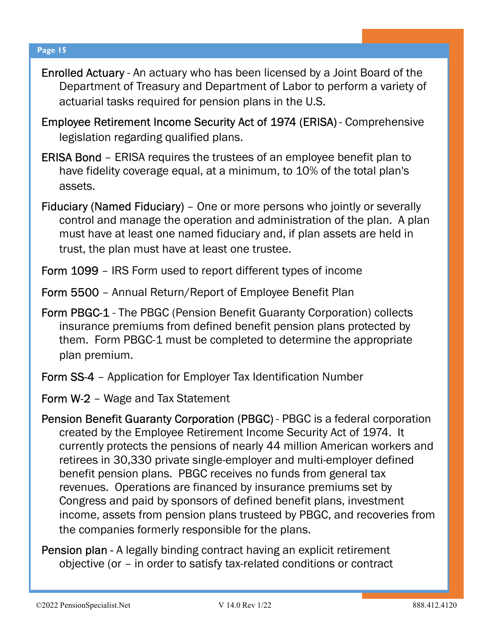- Enrolled Actuary An actuary who has been licensed by a Joint Board of the Department of Treasury and Department of Labor to perform a variety of actuarial tasks required for pension plans in the U.S.
- Employee Retirement Income Security Act of 1974 (ERISA) Comprehensive legislation regarding qualified plans.
- ERISA Bond ERISA requires the trustees of an employee benefit plan to have fidelity coverage equal, at a minimum, to 10% of the total plan's assets.
- Fiduciary (Named Fiduciary) One or more persons who jointly or severally control and manage the operation and administration of the plan. A plan must have at least one named fiduciary and, if plan assets are held in trust, the plan must have at least one trustee.
- Form 1099 IRS Form used to report different types of income
- Form 5500 Annual Return/Report of Employee Benefit Plan
- Form PBGC-1 The PBGC (Pension Benefit Guaranty Corporation) collects insurance premiums from defined benefit pension plans protected by them. Form PBGC-1 must be completed to determine the appropriate plan premium.
- Form SS-4 Application for Employer Tax Identification Number
- Form W-2 Wage and Tax Statement
- Pension Benefit Guaranty Corporation (PBGC) PBGC is a federal corporation created by the Employee Retirement Income Security Act of 1974. It currently protects the pensions of nearly 44 million American workers and retirees in 30,330 private single-employer and multi-employer defined benefit pension plans. PBGC receives no funds from general tax revenues. Operations are financed by insurance premiums set by Congress and paid by sponsors of defined benefit plans, investment income, assets from pension plans trusteed by PBGC, and recoveries from the companies formerly responsible for the plans.
- Pension plan A legally binding contract having an explicit retirement objective (or – in order to satisfy tax-related conditions or contract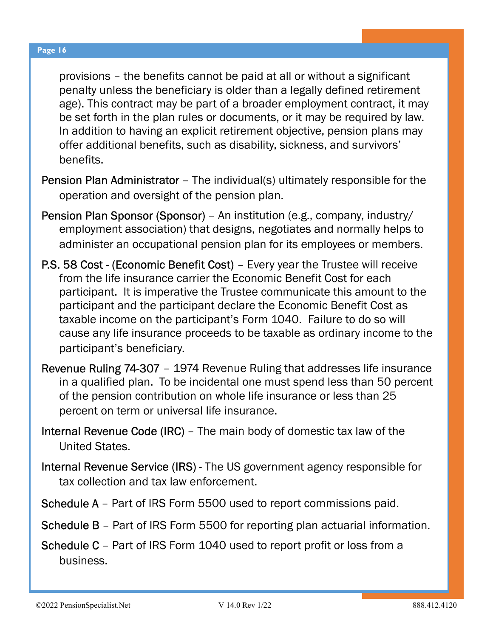provisions – the benefits cannot be paid at all or without a significant penalty unless the beneficiary is older than a legally defined retirement age). This contract may be part of a broader employment contract, it may be set forth in the plan rules or documents, or it may be required by law. In addition to having an explicit retirement objective, pension plans may offer additional benefits, such as disability, sickness, and survivors' benefits.

- Pension Plan Administrator The individual(s) ultimately responsible for the operation and oversight of the pension plan.
- Pension Plan Sponsor (Sponsor) An institution (e.g., company, industry/ employment association) that designs, negotiates and normally helps to administer an occupational pension plan for its employees or members.
- P.S. 58 Cost (Economic Benefit Cost) Every year the Trustee will receive from the life insurance carrier the Economic Benefit Cost for each participant. It is imperative the Trustee communicate this amount to the participant and the participant declare the Economic Benefit Cost as taxable income on the participant's Form 1040. Failure to do so will cause any life insurance proceeds to be taxable as ordinary income to the participant's beneficiary.
- Revenue Ruling 74-307 1974 Revenue Ruling that addresses life insurance in a qualified plan. To be incidental one must spend less than 50 percent of the pension contribution on whole life insurance or less than 25 percent on term or universal life insurance.
- Internal Revenue Code (IRC) The main body of domestic tax law of the United States.
- Internal Revenue Service (IRS) The US government agency responsible for tax collection and tax law enforcement.
- Schedule A Part of IRS Form 5500 used to report commissions paid.
- Schedule B Part of IRS Form 5500 for reporting plan actuarial information.
- Schedule C Part of IRS Form 1040 used to report profit or loss from a business.